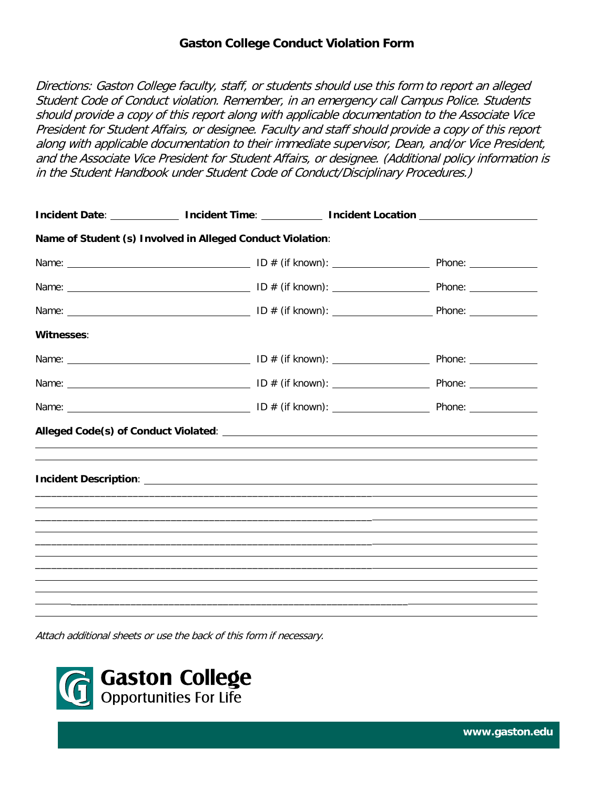## **Gaston College Conduct Violation Form**

Directions: Gaston College faculty, staff, or students should use this form to report an alleged Student Code of Conduct violation. Remember, in an emergency call Campus Police. Students should provide a copy of this report along with applicable documentation to the Associate Vice President for Student Affairs, or designee. Faculty and staff should provide a copy of this report along with applicable documentation to their immediate supervisor, Dean, and/or Vice President, and the Associate Vice President for Student Affairs, or designee. (Additional policy information is in the Student Handbook under Student Code of Conduct/Disciplinary Procedures.)

|            |                                                                                                                                                                                                                                      | Incident Date: ______________ Incident Time: ____________ Incident Location _______________________ |
|------------|--------------------------------------------------------------------------------------------------------------------------------------------------------------------------------------------------------------------------------------|-----------------------------------------------------------------------------------------------------|
|            | Name of Student (s) Involved in Alleged Conduct Violation:                                                                                                                                                                           |                                                                                                     |
|            |                                                                                                                                                                                                                                      |                                                                                                     |
|            |                                                                                                                                                                                                                                      |                                                                                                     |
|            |                                                                                                                                                                                                                                      |                                                                                                     |
| Witnesses: |                                                                                                                                                                                                                                      |                                                                                                     |
|            |                                                                                                                                                                                                                                      |                                                                                                     |
|            |                                                                                                                                                                                                                                      |                                                                                                     |
|            |                                                                                                                                                                                                                                      |                                                                                                     |
|            |                                                                                                                                                                                                                                      |                                                                                                     |
|            |                                                                                                                                                                                                                                      |                                                                                                     |
|            | <b>Incident Description: Analysis of the Community of the Community of the Community of the Community of the Community of the Community of the Community of the Community of the Community of the Community of the Community of </b> |                                                                                                     |
|            |                                                                                                                                                                                                                                      |                                                                                                     |
|            |                                                                                                                                                                                                                                      |                                                                                                     |
|            |                                                                                                                                                                                                                                      |                                                                                                     |
|            |                                                                                                                                                                                                                                      |                                                                                                     |
|            |                                                                                                                                                                                                                                      |                                                                                                     |
|            |                                                                                                                                                                                                                                      |                                                                                                     |
|            |                                                                                                                                                                                                                                      |                                                                                                     |

Attach additional sheets or use the back of this form if necessary.